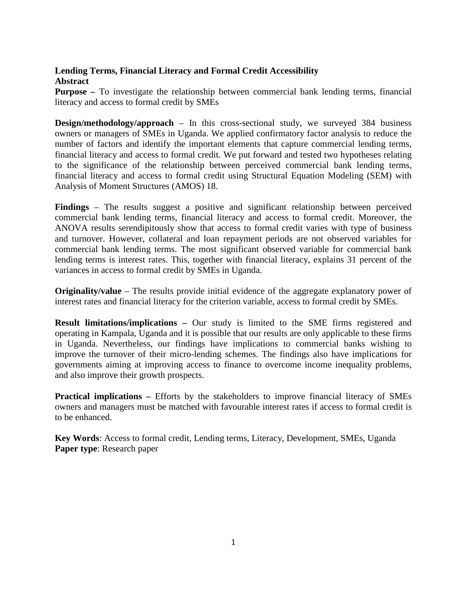# **Lending Terms, Financial Literacy and Formal Credit Accessibility Abstract**

**Purpose –** To investigate the relationship between commercial bank lending terms, financial literacy and access to formal credit by SMEs

**Design/methodology/approach** – In this cross-sectional study, we surveyed 384 business owners or managers of SMEs in Uganda. We applied confirmatory factor analysis to reduce the number of factors and identify the important elements that capture commercial lending terms, financial literacy and access to formal credit. We put forward and tested two hypotheses relating to the significance of the relationship between perceived commercial bank lending terms, financial literacy and access to formal credit using Structural Equation Modeling (SEM) with Analysis of Moment Structures (AMOS) 18.

**Findings** – The results suggest a positive and significant relationship between perceived commercial bank lending terms, financial literacy and access to formal credit. Moreover, the ANOVA results serendipitously show that access to formal credit varies with type of business and turnover. However, collateral and loan repayment periods are not observed variables for commercial bank lending terms. The most significant observed variable for commercial bank lending terms is interest rates. This, together with financial literacy, explains 31 percent of the variances in access to formal credit by SMEs in Uganda.

**Originality/value** – The results provide initial evidence of the aggregate explanatory power of interest rates and financial literacy for the criterion variable, access to formal credit by SMEs.

**Result limitations/implications –** Our study is limited to the SME firms registered and operating in Kampala, Uganda and it is possible that our results are only applicable to these firms in Uganda. Nevertheless, our findings have implications to commercial banks wishing to improve the turnover of their micro-lending schemes. The findings also have implications for governments aiming at improving access to finance to overcome income inequality problems, and also improve their growth prospects.

**Practical implications –** Efforts by the stakeholders to improve financial literacy of SMEs owners and managers must be matched with favourable interest rates if access to formal credit is to be enhanced.

**Key Words**: Access to formal credit, Lending terms, Literacy, Development, SMEs, Uganda **Paper type**: Research paper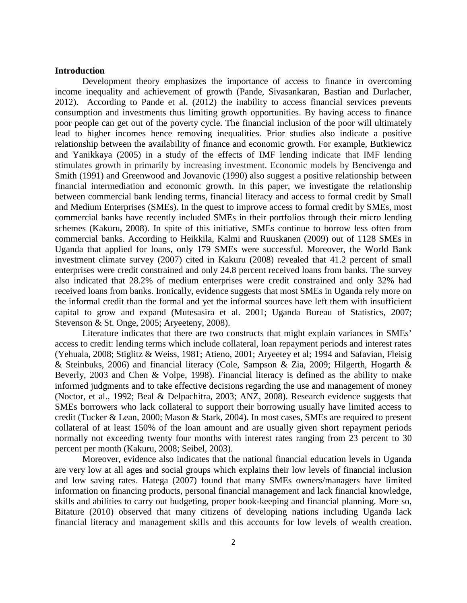# **Introduction**

Development theory emphasizes the importance of access to finance in overcoming income inequality and achievement of growth (Pande, Sivasankaran, Bastian and Durlacher, 2012). According to Pande et al. (2012) the inability to access financial services prevents consumption and investments thus limiting growth opportunities. By having access to finance poor people can get out of the poverty cycle. The financial inclusion of the poor will ultimately lead to higher incomes hence removing inequalities. Prior studies also indicate a positive relationship between the availability of finance and economic growth. For example, Butkiewicz and Yanikkaya (2005) in a study of the effects of IMF lending indicate that IMF lending stimulates growth in primarily by increasing investment. Economic models by Bencivenga and Smith (1991) and Greenwood and Jovanovic (1990) also suggest a positive relationship between financial intermediation and economic growth. In this paper, we investigate the relationship between commercial bank lending terms, financial literacy and access to formal credit by Small and Medium Enterprises (SMEs). In the quest to improve access to formal credit by SMEs, most commercial banks have recently included SMEs in their portfolios through their micro lending schemes (Kakuru, 2008). In spite of this initiative, SMEs continue to borrow less often from commercial banks. According to Heikkila, Kalmi and Ruuskanen (2009) out of 1128 SMEs in Uganda that applied for loans, only 179 SMEs were successful. Moreover, the World Bank investment climate survey (2007) cited in Kakuru (2008) revealed that 41.2 percent of small enterprises were credit constrained and only 24.8 percent received loans from banks. The survey also indicated that 28.2% of medium enterprises were credit constrained and only 32% had received loans from banks. Ironically, evidence suggests that most SMEs in Uganda rely more on the informal credit than the formal and yet the informal sources have left them with insufficient capital to grow and expand (Mutesasira et al. 2001; Uganda Bureau of Statistics, 2007; Stevenson & St. Onge, 2005; Aryeeteny, 2008).

Literature indicates that there are two constructs that might explain variances in SMEs' access to credit: lending terms which include collateral, loan repayment periods and interest rates (Yehuala, 2008; Stiglitz & Weiss, 1981; Atieno, 2001; Aryeetey et al; 1994 and Safavian, Fleisig & Steinbuks, 2006) and financial literacy (Cole, Sampson & Zia, 2009; Hilgerth, Hogarth & Beverly, 2003 and Chen & Volpe, 1998). Financial literacy is defined as the ability to make informed judgments and to take effective decisions regarding the use and management of money (Noctor, et al., 1992; Beal & Delpachitra, 2003; ANZ, 2008). Research evidence suggests that SMEs borrowers who lack collateral to support their borrowing usually have limited access to credit (Tucker & Lean, 2000; Mason & Stark, 2004). In most cases, SMEs are required to present collateral of at least 150% of the loan amount and are usually given short repayment periods normally not exceeding twenty four months with interest rates ranging from 23 percent to 30 percent per month (Kakuru, 2008; Seibel, 2003).

Moreover, evidence also indicates that the national financial education levels in Uganda are very low at all ages and social groups which explains their low levels of financial inclusion and low saving rates. Hatega (2007) found that many SMEs owners/managers have limited information on financing products, personal financial management and lack financial knowledge, skills and abilities to carry out budgeting, proper book-keeping and financial planning. More so, Bitature (2010) observed that many citizens of developing nations including Uganda lack financial literacy and management skills and this accounts for low levels of wealth creation.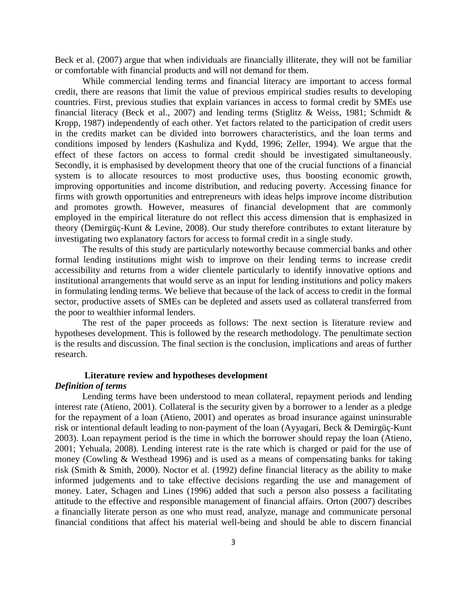Beck et al. (2007) argue that when individuals are financially illiterate, they will not be familiar or comfortable with financial products and will not demand for them.

While commercial lending terms and financial literacy are important to access formal credit, there are reasons that limit the value of previous empirical studies results to developing countries. First, previous studies that explain variances in access to formal credit by SMEs use financial literacy (Beck et al., 2007) and lending terms (Stiglitz & Weiss, 1981; Schmidt & Kropp, 1987) independently of each other. Yet factors related to the participation of credit users in the credits market can be divided into borrowers characteristics, and the loan terms and conditions imposed by lenders (Kashuliza and Kydd, 1996; Zeller, 1994). We argue that the effect of these factors on access to formal credit should be investigated simultaneously. Secondly, it is emphasised by development theory that one of the crucial functions of a financial system is to allocate resources to most productive uses, thus boosting economic growth, improving opportunities and income distribution, and reducing poverty. Accessing finance for firms with growth opportunities and entrepreneurs with ideas helps improve income distribution and promotes growth. However, measures of financial development that are commonly employed in the empirical literature do not reflect this access dimension that is emphasized in theory (Demirgüç-Kunt & Levine, 2008). Our study therefore contributes to extant literature by investigating two explanatory factors for access to formal credit in a single study.

The results of this study are particularly noteworthy because commercial banks and other formal lending institutions might wish to improve on their lending terms to increase credit accessibility and returns from a wider clientele particularly to identify innovative options and institutional arrangements that would serve as an input for lending institutions and policy makers in formulating lending terms. We believe that because of the lack of access to credit in the formal sector, productive assets of SMEs can be depleted and assets used as collateral transferred from the poor to wealthier informal lenders.

The rest of the paper proceeds as follows: The next section is literature review and hypotheses development. This is followed by the research methodology. The penultimate section is the results and discussion. The final section is the conclusion, implications and areas of further research.

# **Literature review and hypotheses development** *Definition of terms*

Lending terms have been understood to mean collateral, repayment periods and lending interest rate (Atieno, 2001). Collateral is the security given by a borrower to a lender as a pledge for the repayment of a loan (Atieno, 2001) and operates as broad insurance against uninsurable risk or intentional default leading to non-payment of the loan (Ayyagari, Beck & Demirgüç-Kunt 2003). Loan repayment period is the time in which the borrower should repay the loan (Atieno, 2001; Yehuala, 2008). Lending interest rate is the [rate](http://www.investorwords.com/5752/rate.html) which is [charged](http://www.investorwords.com/7559/charged.html) or [paid](http://www.investorwords.com/3569/paid.html) for the use of [money](http://www.investorwords.com/3100/money.html) (Cowling & Westhead 1996) and is used as a means of compensating banks for taking risk (Smith & Smith, 2000). Noctor et al. (1992) define financial literacy as the ability to make informed judgements and to take effective decisions regarding the use and management of money. Later, Schagen and Lines (1996) added that such a person also possess a facilitating attitude to the effective and responsible management of financial affairs. Orton (2007) describes a financially literate person as one who must read, analyze, manage and communicate personal financial conditions that affect his material well-being and should be able to discern financial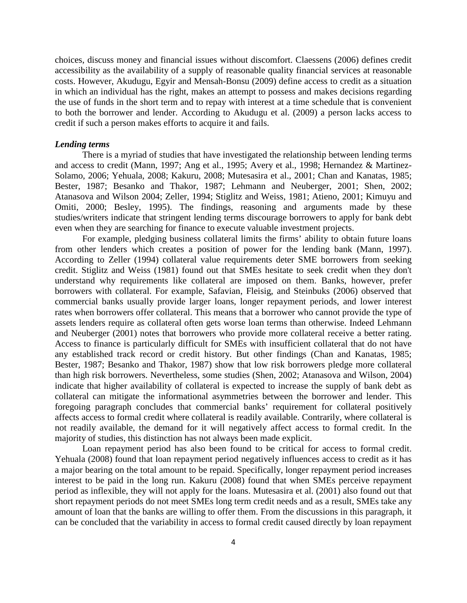choices, discuss money and financial issues without discomfort. Claessens (2006) defines credit accessibility as the availability of a supply of reasonable quality financial services at reasonable costs. However, Akudugu, Egyir and Mensah-Bonsu (2009) define access to credit as a situation in which an individual has the right, makes an attempt to possess and makes decisions regarding the use of funds in the short term and to repay with interest at a time schedule that is convenient to both the borrower and lender. According to Akudugu et al. (2009) a person lacks access to credit if such a person makes efforts to acquire it and fails.

#### *Lending terms*

There is a myriad of studies that have investigated the relationship between lending terms and access to credit (Mann, 1997; Ang et al., 1995; Avery et al., 1998; Hernandez & Martinez-Solamo, 2006; Yehuala, 2008; Kakuru, 2008; Mutesasira et al., 2001; Chan and Kanatas, 1985; Bester, 1987; Besanko and Thakor, 1987; Lehmann and Neuberger, 2001; Shen, 2002; Atanasova and Wilson 2004; Zeller, 1994; Stiglitz and Weiss, 1981; Atieno, 2001; Kimuyu and Omiti, 2000; Besley, 1995). The findings, reasoning and arguments made by these studies/writers indicate that stringent lending terms discourage borrowers to apply for bank debt even when they are searching for finance to execute valuable investment projects.

For example, pledging business collateral limits the firms' ability to obtain future loans from other lenders which creates a position of power for the lending bank (Mann, 1997). According to Zeller (1994) collateral value requirements deter SME borrowers from seeking credit. Stiglitz and Weiss (1981) found out that SMEs hesitate to seek credit when they don't understand why requirements like collateral are imposed on them. Banks, however, prefer borrowers with collateral. For example, Safavian, Fleisig, and Steinbuks (2006) observed that commercial banks usually provide larger loans, longer repayment periods, and lower interest rates when borrowers offer collateral. This means that a borrower who cannot provide the type of assets lenders require as collateral often gets worse loan terms than otherwise. Indeed Lehmann and Neuberger (2001) notes that borrowers who provide more collateral receive a better rating. Access to finance is particularly difficult for SMEs with insufficient collateral that do not have any established track record or credit history. But other findings (Chan and Kanatas, 1985; Bester, 1987; Besanko and Thakor, 1987) show that low risk borrowers pledge more collateral than high risk borrowers. Nevertheless, some studies (Shen, 2002; Atanasova and Wilson, 2004) indicate that higher availability of collateral is expected to increase the supply of bank debt as collateral can mitigate the informational asymmetries between the borrower and lender. This foregoing paragraph concludes that commercial banks' requirement for collateral positively affects access to formal credit where collateral is readily available. Contrarily, where collateral is not readily available, the demand for it will negatively affect access to formal credit. In the majority of studies, this distinction has not always been made explicit.

Loan repayment period has also been found to be critical for access to formal credit. Yehuala (2008) found that loan repayment period negatively influences access to credit as it has a major bearing on the total amount to be repaid. Specifically, longer repayment period increases interest to be paid in the long run. Kakuru (2008) found that when SMEs perceive repayment period as inflexible, they will not apply for the loans. Mutesasira et al. (2001) also found out that short repayment periods do not meet SMEs long term credit needs and as a result, SMEs take any amount of loan that the banks are willing to offer them. From the discussions in this paragraph, it can be concluded that the variability in access to formal credit caused directly by loan repayment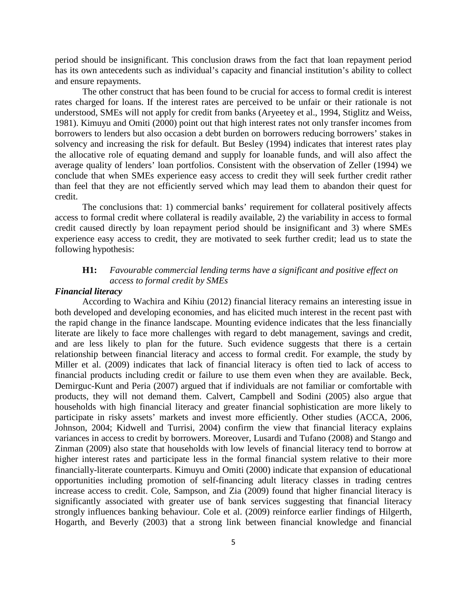period should be insignificant. This conclusion draws from the fact that loan repayment period has its own antecedents such as individual's capacity and financial institution's ability to collect and ensure repayments.

The other construct that has been found to be crucial for access to formal credit is interest rates charged for loans. If the interest rates are perceived to be unfair or their rationale is not understood, SMEs will not apply for credit from banks (Aryeetey et al., 1994, Stiglitz and Weiss, 1981). Kimuyu and Omiti (2000) point out that high interest rates not only transfer incomes from borrowers to lenders but also occasion a debt burden on borrowers reducing borrowers' stakes in solvency and increasing the risk for default. But Besley (1994) indicates that interest rates play the allocative role of equating demand and supply for loanable funds, and will also affect the average quality of lenders' loan portfolios. Consistent with the observation of Zeller (1994) we conclude that when SMEs experience easy access to credit they will seek further credit rather than feel that they are not efficiently served which may lead them to abandon their quest for credit.

The conclusions that: 1) commercial banks' requirement for collateral positively affects access to formal credit where collateral is readily available, 2) the variability in access to formal credit caused directly by loan repayment period should be insignificant and 3) where SMEs experience easy access to credit, they are motivated to seek further credit; lead us to state the following hypothesis:

# **H1:** *Favourable commercial lending terms have a significant and positive effect on access to formal credit by SMEs*

# *Financial literacy*

According to Wachira and Kihiu (2012) financial literacy remains an interesting issue in both developed and developing economies, and has elicited much interest in the recent past with the rapid change in the finance landscape. Mounting evidence indicates that the less financially literate are likely to face more challenges with regard to debt management, savings and credit, and are less likely to plan for the future. Such evidence suggests that there is a certain relationship between financial literacy and access to formal credit. For example, the study by Miller et al. (2009) indicates that lack of financial literacy is often tied to lack of access to financial products including credit or failure to use them even when they are available. Beck, Demirguc-Kunt and Peria (2007) argued that if individuals are not familiar or comfortable with products, they will not demand them. Calvert, Campbell and Sodini (2005) also argue that households with high financial literacy and greater financial sophistication are more likely to participate in risky assets' markets and invest more efficiently. Other studies (ACCA, 2006, Johnson, 2004; Kidwell and Turrisi, 2004) confirm the view that financial literacy explains variances in access to credit by borrowers. Moreover, Lusardi and Tufano (2008) and Stango and Zinman (2009) also state that households with low levels of financial literacy tend to borrow at higher interest rates and participate less in the formal financial system relative to their more financially-literate counterparts. Kimuyu and Omiti (2000) indicate that expansion of educational opportunities including promotion of self-financing adult literacy classes in trading centres increase access to credit. Cole, Sampson, and Zia (2009) found that higher financial literacy is significantly associated with greater use of bank services suggesting that financial literacy strongly influences banking behaviour. Cole et al. (2009) reinforce earlier findings of Hilgerth, Hogarth, and Beverly (2003) that a strong link between financial knowledge and financial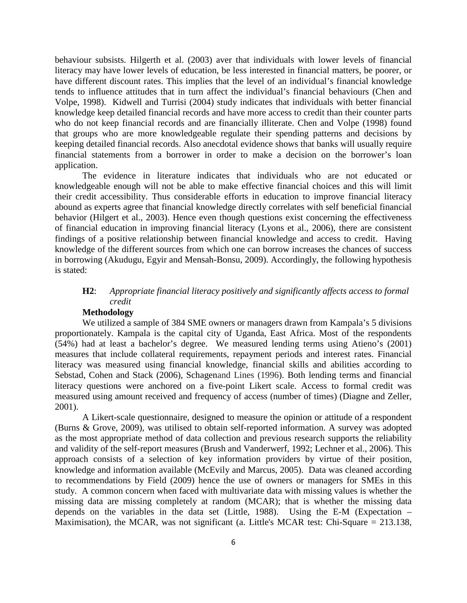behaviour subsists. Hilgerth et al. (2003) aver that individuals with lower levels of financial literacy may have lower levels of education, be less interested in financial matters, be poorer, or have different discount rates. This implies that the level of an individual's financial knowledge tends to influence attitudes that in turn affect the individual's financial behaviours (Chen and Volpe, 1998). Kidwell and Turrisi (2004) study indicates that individuals with better financial knowledge keep detailed financial records and have more access to credit than their counter parts who do not keep financial records and are financially illiterate. Chen and Volpe (1998) found that groups who are more knowledgeable regulate their spending patterns and decisions by keeping detailed financial records. Also anecdotal evidence shows that banks will usually require financial statements from a borrower in order to make a decision on the borrower's loan application.

The evidence in literature indicates that individuals who are not educated or knowledgeable enough will not be able to make effective financial choices and this will limit their credit accessibility. Thus considerable efforts in education to improve financial literacy abound as experts agree that financial knowledge directly correlates with self beneficial financial behavior (Hilgert et al., 2003). Hence even though questions exist concerning the effectiveness of financial education in improving financial literacy (Lyons et al., 2006), there are consistent findings of a positive relationship between financial knowledge and access to credit. Having knowledge of the different sources from which one can borrow increases the chances of success in borrowing (Akudugu, Egyir and Mensah-Bonsu, 2009). Accordingly, the following hypothesis is stated:

# **H2**: *Appropriate financial literacy positively and significantly affects access to formal credit*

# **Methodology**

We utilized a sample of 384 SME owners or managers drawn from Kampala's 5 divisions proportionately. Kampala is the capital city of Uganda, East Africa. Most of the respondents (54%) had at least a bachelor's degree. We measured lending terms using Atieno's (2001) measures that include collateral requirements, repayment periods and interest rates. Financial literacy was measured using financial knowledge, financial skills and abilities according to Sebstad, Cohen and Stack (2006), Schagenand Lines (1996). Both lending terms and financial literacy questions were anchored on a five-point Likert scale. Access to formal credit was measured using amount received and frequency of access (number of times) (Diagne and Zeller, 2001).

A Likert-scale questionnaire, designed to measure the opinion or attitude of a respondent (Burns & Grove, 2009), was utilised to obtain self-reported information. A survey was adopted as the most appropriate method of data collection and previous research supports the reliability and validity of the self-report measures (Brush and Vanderwerf, 1992; Lechner et al., 2006). This approach consists of a selection of key information providers by virtue of their position, knowledge and information available (McEvily and Marcus, 2005). Data was cleaned according to recommendations by Field (2009) hence the use of owners or managers for SMEs in this study. A common concern when faced with multivariate data with missing values is whether the missing data are missing completely at random (MCAR); that is whether the missing data depends on the variables in the data set (Little, 1988). Using the E-M (Expectation – Maximisation), the MCAR, was not significant (a. Little's MCAR test: Chi-Square = 213.138,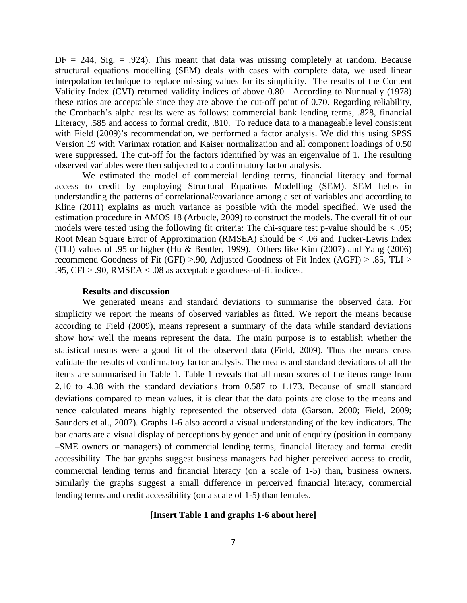$DF = 244$ , Sig. = .924). This meant that data was missing completely at random. Because structural equations modelling (SEM) deals with cases with complete data, we used linear interpolation technique to replace missing values for its simplicity. The results of the Content Validity Index (CVI) returned validity indices of above 0.80. According to Nunnually (1978) these ratios are acceptable since they are above the cut-off point of 0.70. Regarding reliability, the Cronbach's alpha results were as follows: commercial bank lending terms, .828, financial Literacy, .585 and access to formal credit, .810. To reduce data to a manageable level consistent with Field (2009)'s recommendation, we performed a factor analysis. We did this using SPSS Version 19 with Varimax rotation and Kaiser normalization and all component loadings of 0.50 were suppressed. The cut-off for the factors identified by was an eigenvalue of 1. The resulting observed variables were then subjected to a confirmatory factor analysis.

We estimated the model of commercial lending terms, financial literacy and formal access to credit by employing Structural Equations Modelling (SEM). SEM helps in understanding the patterns of correlational/covariance among a set of variables and according to Kline (2011) explains as much variance as possible with the model specified. We used the estimation procedure in AMOS 18 (Arbucle, 2009) to construct the models. The overall fit of our models were tested using the following fit criteria: The chi-square test p-value should be  $< .05$ ; Root Mean Square Error of Approximation (RMSEA) should be < .06 and Tucker-Lewis Index (TLI) values of .95 or higher (Hu & Bentler, 1999). Others like Kim (2007) and Yang (2006) recommend Goodness of Fit (GFI) >.90, Adjusted Goodness of Fit Index (AGFI) > .85, TLI > .95, CFI > .90, RMSEA < .08 as acceptable goodness-of-fit indices.

#### **Results and discussion**

We generated means and standard deviations to summarise the observed data. For simplicity we report the means of observed variables as fitted. We report the means because according to Field (2009), means represent a summary of the data while standard deviations show how well the means represent the data. The main purpose is to establish whether the statistical means were a good fit of the observed data (Field, 2009). Thus the means cross validate the results of confirmatory factor analysis. The means and standard deviations of all the items are summarised in Table 1. Table 1 reveals that all mean scores of the items range from 2.10 to 4.38 with the standard deviations from 0.587 to 1.173. Because of small standard deviations compared to mean values, it is clear that the data points are close to the means and hence calculated means highly represented the observed data (Garson, 2000; Field, 2009; Saunders et al., 2007). Graphs 1-6 also accord a visual understanding of the key indicators. The bar charts are a visual display of perceptions by gender and unit of enquiry (position in company –SME owners or managers) of commercial lending terms, financial literacy and formal credit accessibility. The bar graphs suggest business managers had higher perceived access to credit, commercial lending terms and financial literacy (on a scale of 1-5) than, business owners. Similarly the graphs suggest a small difference in perceived financial literacy, commercial lending terms and credit accessibility (on a scale of 1-5) than females.

# **[Insert Table 1 and graphs 1-6 about here]**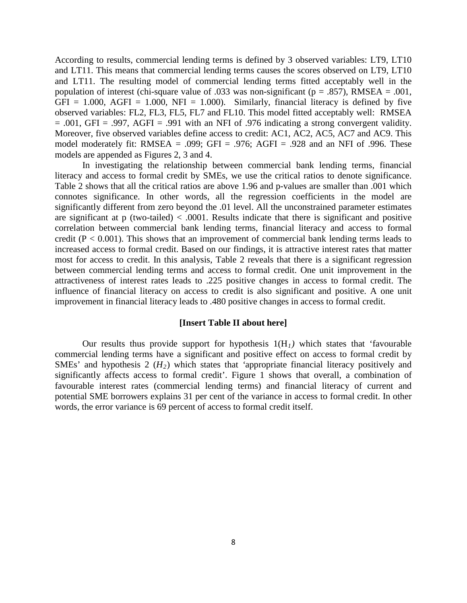According to results, commercial lending terms is defined by 3 observed variables: LT9, LT10 and LT11. This means that commercial lending terms causes the scores observed on LT9, LT10 and LT11. The resulting model of commercial lending terms fitted acceptably well in the population of interest (chi-square value of .033 was non-significant ( $p = .857$ ), RMSEA = .001,  $GFI = 1.000$ ,  $AGFI = 1.000$ ,  $NFI = 1.000$ ). Similarly, financial literacy is defined by five observed variables: FL2, FL3, FL5, FL7 and FL10. This model fitted acceptably well: RMSEA  $= .001$ , GFI = .997, AGFI = .991 with an NFI of .976 indicating a strong convergent validity. Moreover, five observed variables define access to credit: AC1, AC2, AC5, AC7 and AC9. This model moderately fit: RMSEA = .099; GFI = .976; AGFI = .928 and an NFI of .996. These models are appended as Figures 2, 3 and 4.

In investigating the relationship between commercial bank lending terms, financial literacy and access to formal credit by SMEs, we use the critical ratios to denote significance. Table 2 shows that all the critical ratios are above 1.96 and p-values are smaller than .001 which connotes significance. In other words, all the regression coefficients in the model are significantly different from zero beyond the .01 level. All the unconstrained parameter estimates are significant at  $p$  (two-tailed) < .0001. Results indicate that there is significant and positive correlation between commercial bank lending terms, financial literacy and access to formal credit ( $P < 0.001$ ). This shows that an improvement of commercial bank lending terms leads to increased access to formal credit. Based on our findings, it is attractive interest rates that matter most for access to credit. In this analysis, Table 2 reveals that there is a significant regression between commercial lending terms and access to formal credit. One unit improvement in the attractiveness of interest rates leads to .225 positive changes in access to formal credit. The influence of financial literacy on access to credit is also significant and positive. A one unit improvement in financial literacy leads to .480 positive changes in access to formal credit.

## **[Insert Table II about here]**

Our results thus provide support for hypothesis  $1(H<sub>1</sub>)$  which states that 'favourable' commercial lending terms have a significant and positive effect on access to formal credit by SMEs' and hypothesis 2 ( $H_2$ ) which states that 'appropriate financial literacy positively and significantly affects access to formal credit'. Figure 1 shows that overall, a combination of favourable interest rates (commercial lending terms) and financial literacy of current and potential SME borrowers explains 31 per cent of the variance in access to formal credit. In other words, the error variance is 69 percent of access to formal credit itself.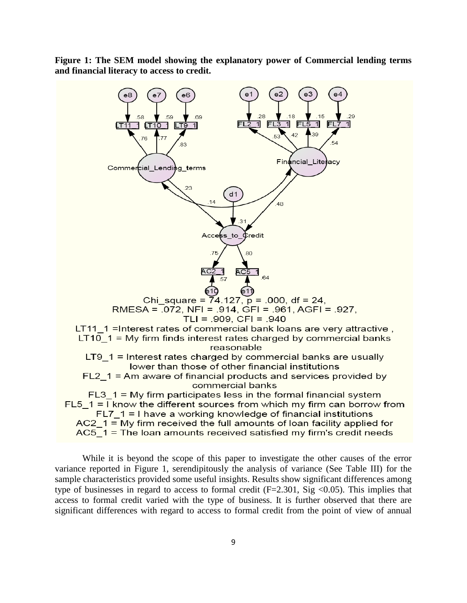**Figure 1: The SEM model showing the explanatory power of Commercial lending terms and financial literacy to access to credit.**



While it is beyond the scope of this paper to investigate the other causes of the error variance reported in Figure 1, serendipitously the analysis of variance (See Table III) for the sample characteristics provided some useful insights. Results show significant differences among type of businesses in regard to access to formal credit  $(F=2.301, Sig < 0.05)$ . This implies that access to formal credit varied with the type of business. It is further observed that there are significant differences with regard to access to formal credit from the point of view of annual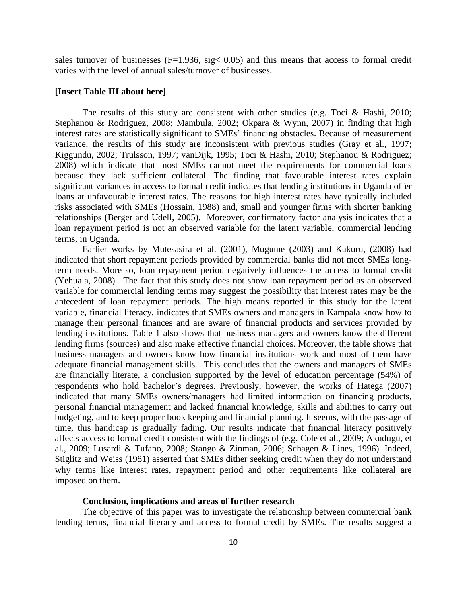sales turnover of businesses ( $F=1.936$ ,  $sig< 0.05$ ) and this means that access to formal credit varies with the level of annual sales/turnover of businesses.

# **[Insert Table III about here]**

The results of this study are consistent with other studies (e.g. Toci & Hashi, 2010; Stephanou & Rodriguez, 2008; Mambula, 2002; Okpara & Wynn, 2007) in finding that high interest rates are statistically significant to SMEs' financing obstacles. Because of measurement variance, the results of this study are inconsistent with previous studies (Gray et al., 1997; Kiggundu, 2002; Trulsson, 1997; vanDijk, 1995; Toci & Hashi, 2010; Stephanou & Rodriguez; 2008) which indicate that most SMEs cannot meet the requirements for commercial loans because they lack sufficient collateral. The finding that favourable interest rates explain significant variances in access to formal credit indicates that lending institutions in Uganda offer loans at unfavourable interest rates. The reasons for high interest rates have typically included risks associated with SMEs (Hossain, 1988) and, small and younger firms with shorter banking relationships (Berger and Udell, 2005). Moreover, confirmatory factor analysis indicates that a loan repayment period is not an observed variable for the latent variable, commercial lending terms, in Uganda.

Earlier works by Mutesasira et al. (2001), Mugume (2003) and Kakuru, (2008) had indicated that short repayment periods provided by commercial banks did not meet SMEs longterm needs. More so, loan repayment period negatively influences the access to formal credit (Yehuala, 2008). The fact that this study does not show loan repayment period as an observed variable for commercial lending terms may suggest the possibility that interest rates may be the antecedent of loan repayment periods. The high means reported in this study for the latent variable, financial literacy, indicates that SMEs owners and managers in Kampala know how to manage their personal finances and are aware of financial products and services provided by lending institutions. Table 1 also shows that business managers and owners know the different lending firms (sources) and also make effective financial choices. Moreover, the table shows that business managers and owners know how financial institutions work and most of them have adequate financial management skills. This concludes that the owners and managers of SMEs are financially literate, a conclusion supported by the level of education percentage (54%) of respondents who hold bachelor's degrees. Previously, however, the works of Hatega (2007) indicated that many SMEs owners/managers had limited information on financing products, personal financial management and lacked financial knowledge, skills and abilities to carry out budgeting, and to keep proper book keeping and financial planning. It seems, with the passage of time, this handicap is gradually fading. Our results indicate that financial literacy positively affects access to formal credit consistent with the findings of (e.g. Cole et al., 2009; Akudugu, et al., 2009; Lusardi & Tufano, 2008; Stango & Zinman, 2006; Schagen & Lines, 1996). Indeed, Stiglitz and Weiss (1981) asserted that SMEs dither seeking credit when they do not understand why terms like interest rates, repayment period and other requirements like collateral are imposed on them.

## **Conclusion, implications and areas of further research**

The objective of this paper was to investigate the relationship between commercial bank lending terms, financial literacy and access to formal credit by SMEs. The results suggest a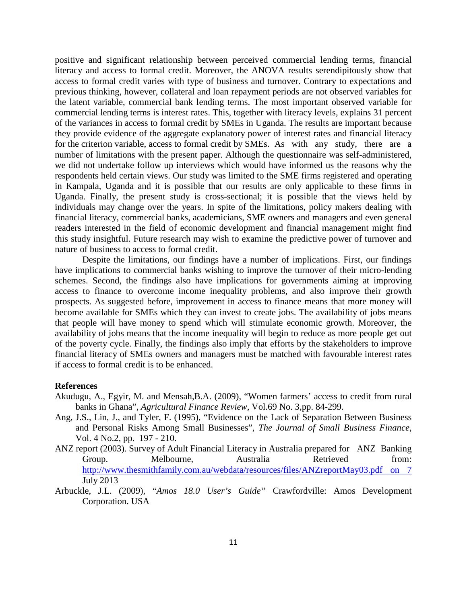positive and significant relationship between perceived commercial lending terms, financial literacy and access to formal credit. Moreover, the ANOVA results serendipitously show that access to formal credit varies with type of business and turnover. Contrary to expectations and previous thinking, however, collateral and loan repayment periods are not observed variables for the latent variable, commercial bank lending terms. The most important observed variable for commercial lending terms is interest rates. This, together with literacy levels, explains 31 percent of the variances in access to formal credit by SMEs in Uganda. The results are important because they provide evidence of the aggregate explanatory power of interest rates and financial literacy for the criterion variable, access to formal credit by SMEs. As with any study, there are a number of limitations with the present paper. Although the questionnaire was self-administered, we did not undertake follow up interviews which would have informed us the reasons why the respondents held certain views. Our study was limited to the SME firms registered and operating in Kampala, Uganda and it is possible that our results are only applicable to these firms in Uganda. Finally, the present study is cross-sectional; it is possible that the views held by individuals may change over the years. In spite of the limitations, policy makers dealing with financial literacy, commercial banks, academicians, SME owners and managers and even general readers interested in the field of economic development and financial management might find this study insightful. Future research may wish to examine the predictive power of turnover and nature of business to access to formal credit.

Despite the limitations, our findings have a number of implications. First, our findings have implications to commercial banks wishing to improve the turnover of their micro-lending schemes. Second, the findings also have implications for governments aiming at improving access to finance to overcome income inequality problems, and also improve their growth prospects. As suggested before, improvement in access to finance means that more money will become available for SMEs which they can invest to create jobs. The availability of jobs means that people will have money to spend which will stimulate economic growth. Moreover, the availability of jobs means that the income inequality will begin to reduce as more people get out of the poverty cycle. Finally, the findings also imply that efforts by the stakeholders to improve financial literacy of SMEs owners and managers must be matched with favourable interest rates if access to formal credit is to be enhanced.

#### **References**

- Akudugu, A., Egyir, M. and Mensah,B.A. (2009), "Women farmers' access to credit from rural banks in Ghana", *Agricultural Finance Review,* Vol.69 No. 3,pp. 84-299.
- Ang, J.S., Lin, J., and Tyler, F. (1995), "Evidence on the Lack of Separation Between Business and Personal Risks Among Small Businesses", *The Journal of Small Business Finance*, Vol. 4 No.2, pp. 197 - 210.
- ANZ report (2003). Survey of Adult Financial Literacy in Australia prepared for ANZ Banking Group. Melbourne, Australia Retrieved from: [http://www.thesmithfamily.com.au/webdata/resources/files/ANZreportMay03.pdf on 7](http://www.thesmithfamily.com.au/webdata/resources/files/ANZreportMay03.pdf%20on%207) July 2013
- Arbuckle, J.L. (2009), "*Amos 18.0 User's Guide"* Crawfordville: Amos Development Corporation. USA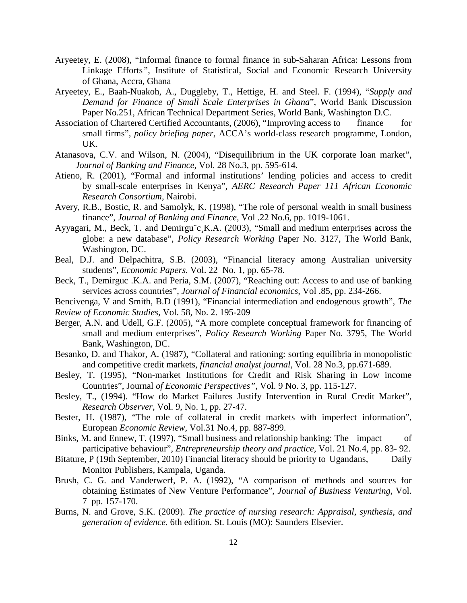- Aryeetey, E. (2008), "Informal finance to formal finance in sub-Saharan Africa: Lessons from Linkage Efforts*"*, Institute of Statistical, Social and Economic Research University of Ghana, Accra, Ghana
- Aryeetey, E., Baah-Nuakoh, A., Duggleby, T., Hettige, H. and Steel. F. (1994), "*Supply and Demand for Finance of Small Scale Enterprises in Ghana*", World Bank Discussion Paper No.251, African Technical Department Series, World Bank, Washington D.C.
- Association of Chartered Certified Accountants, (2006), "Improving access to finance for small firms", *policy briefing paper,* ACCA's world-class research programme, London, UK.
- Atanasova, C.V. and Wilson, N. (2004), "Disequilibrium in the UK corporate loan market", *Journal of Banking and Finance,* Vol. 28 No.3, pp. 595-614.
- Atieno, R. (2001), "Formal and informal institutions' lending policies and access to credit by small-scale enterprises in Kenya", *AERC Research Paper 111 African Economic Research Consortium*, Nairobi.
- Avery, R.B., Bostic, R. and Samolyk, K. (1998), "The role of personal wealth in small business finance", *Journal of Banking and Finance,* Vol .22 No.6, pp. 1019-1061.
- Ayyagari, M., Beck, T. and Demirgu¨c¸K.A. (2003), "Small and medium enterprises across the globe: a new database", *Policy Research Working* Paper No. 3127, The World Bank, Washington, DC.
- Beal, D.J. and Delpachitra, S.B. (2003), "Financial literacy among Australian university students", *Economic Papers.* Vol. 22 No. 1, pp. 65-78.
- Beck, T., Demirguc .K.A. and Peria, S.M. (2007), "Reaching out: Access to and use of banking services across countries", *Journal of Financial economics,* Vol .85, pp. 234-266.
- Bencivenga, V and Smith, B.D (1991), "Financial intermediation and endogenous growth", *The Review of Economic Studies,* Vol. 58, No. 2. 195-209
- Berger, A.N. and Udell, G.F. (2005), "A more complete conceptual framework for financing of small and medium enterprises", *Policy Research Working* Paper No. 3795, The World Bank, Washington, DC.
- Besanko, D. and Thakor, A. (1987), "Collateral and rationing: sorting equilibria in monopolistic and competitive credit markets, *financial analyst journal,* Vol. 28 No.3, pp.671-689.
- Besley, T. (1995), "Non-market Institutions for Credit and Risk Sharing in Low income Countries", Journal *of Economic Perspectives"*, Vol. 9 No. 3, pp. 115-127.
- Besley, T., (1994). "How do Market Failures Justify Intervention in Rural Credit Market", *Research Observer*, Vol. 9, No. 1, pp. 27-47.
- Bester, H. (1987), "The role of collateral in credit markets with imperfect information", European *Economic Review,* Vol.31 No.4, pp. 887-899.
- Binks, M. and Ennew, T. (1997), "Small business and relationship banking: The impact of participative behaviour", *Entrepreneurship theory and practice,* Vol. 21 No.4, pp. 83- 92.
- Bitature, P (19th September, 2010) Financial literacy should be priority to Ugandans, Daily Monitor Publishers, Kampala, Uganda.
- Brush, C. G. and Vanderwerf, P. A. (1992), "A comparison of methods and sources for obtaining Estimates of New Venture Performance", *Journal of Business Venturing,* Vol. 7 pp. 157-170.
- Burns, N. and Grove, S.K. (2009). *The practice of nursing research: Appraisal, synthesis, and generation of evidence.* 6th edition. St. Louis (MO): Saunders Elsevier.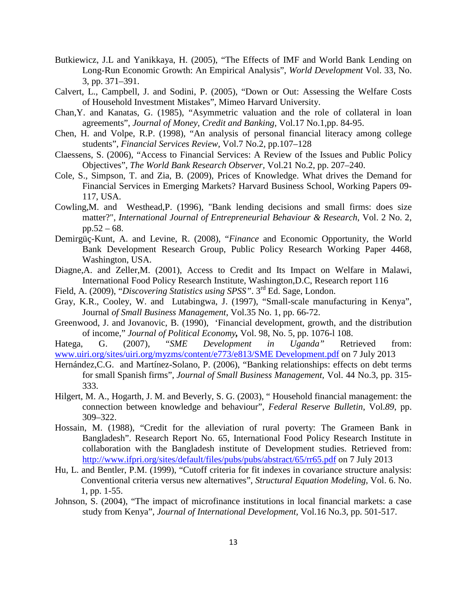- Butkiewicz, J.L and Yanikkaya, H. (2005), "The Effects of IMF and World Bank Lending on Long-Run Economic Growth: An Empirical Analysis", *World Development* Vol. 33, No. 3, pp. 371–391.
- Calvert, L., Campbell, J. and Sodini, P. (2005), "Down or Out: Assessing the Welfare Costs of Household Investment Mistakes", Mimeo Harvard University.
- Chan,Y. and Kanatas, G. (1985), "Asymmetric valuation and the role of collateral in loan agreements", *Journal of M*o*ney, Credit and Banking,* Vol.17 No.1,pp. 84-95.
- Chen, H. and Volpe, R.P. (1998), "An analysis of personal financial literacy among college students", *Financial Services Review*, Vol.7 No.2, pp.107–128
- Claessens, S. (2006), "Access to Financial Services: A Review of the Issues and Public Policy Objectives", *The World Bank Research Observer,* Vol.21 No.2, pp. 207–240.
- Cole, S., Simpson, T. and Zia, B. (2009), Prices of Knowledge. What drives the Demand for Financial Services in Emerging Markets? Harvard Business School, Working Papers 09- 117, USA.
- Cowling,M. and Westhead,P. (1996), "Bank lending decisions and small firms: does size matter?", *International Journal of Entrepreneurial Behaviour & Research*, Vol. 2 No. 2, pp. $52 - 68$ .
- Demirgüç-Kunt, A. and Levine, R. (2008), "*Finance* and Economic Opportunity, the World Bank Development Research Group, Public Policy Research Working Paper 4468, Washington, USA.
- Diagne,A. and Zeller,M. (2001), Access to Credit and Its Impact on Welfare in Malawi, International Food Policy Research Institute, Washington,D.C, Research report 116
- Field, A. (2009), "*Discovering Statistics using SPSS"*. 3rd Ed. Sage, London.
- Gray, K.R., Cooley, W. and Lutabingwa, J. (1997), "Small-scale manufacturing in Kenya", Journal *of Small Business Management*, Vol.35 No. 1, pp. 66-72.
- Greenwood, J. and Jovanovic, B. (1990), 'Financial development, growth, and the distribution of income," *Journal of Political Economy,* Vol. 98, No. 5, pp. 1076-l 108.

Hatega, G. (2007), "*SME Development in Uganda"* Retrieved from: [www.uiri.org/sites/uiri.org/myzms/content/e773/e813/SME Development.pdf](http://www.uiri.org/sites/uiri.org/myzms/content/e773/e813/SME%20Development.pdf) on 7 July 2013

- Hernández,C.G. and Martínez-Solano, P. (2006), "Banking relationships: effects on debt terms for small Spanish firms", *Journal of Small Business Management,* Vol. 44 No.3, pp. 315- 333.
- Hilgert, M. A., Hogarth, J. M. and Beverly, S. G. (2003), " Household financial management: the connection between knowledge and behaviour", *Federal Reserve Bulletin*, Vol.*89*, pp. 309–322.
- Hossain, M. (1988), "Credit for the alleviation of rural poverty: The Grameen Bank in Bangladesh". Research Report No. 65, International Food Policy Research Institute in collaboration with the Bangladesh institute of Development studies. Retrieved from: <http://www.ifpri.org/sites/default/files/pubs/pubs/abstract/65/rr65.pdf> on 7 July 2013
- Hu, L. and Bentler, P.M. (1999), "Cutoff criteria for fit indexes in covariance structure analysis: Conventional criteria versus new alternatives", *Structural Equation Modeling*, Vol. 6. No. 1, pp. 1-55.
- Johnson, S. (2004), "The impact of microfinance institutions in local financial markets: a case study from Kenya", *Journal of International Development,* Vol.16 No.3, pp. 501-517.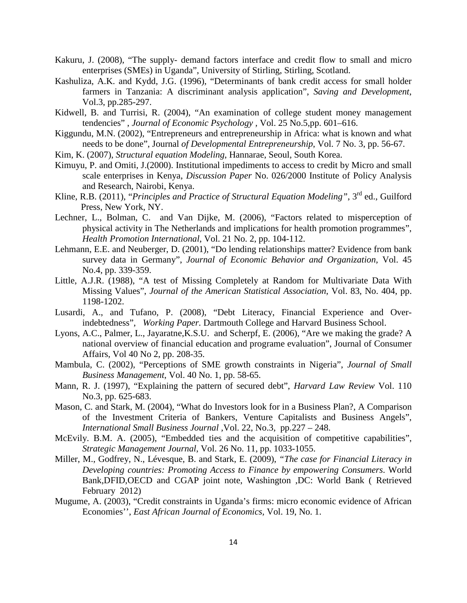- Kakuru, J. (2008), "The supply- demand factors interface and credit flow to small and micro enterprises (SMEs) in Uganda", University of Stirling, Stirling, Scotland.
- Kashuliza, A.K. and Kydd, J.G. (1996), "Determinants of bank credit access for small holder farmers in Tanzania: A discriminant analysis application", *Saving and Development*, Vol.3, pp.285-297.
- Kidwell, B. and Turrisi, R. (2004), "An examination of college student money management tendencies" , *Journal of Economic Psychology ,* Vol. 25 No.5,pp. 601–616.
- Kiggundu, M.N. (2002), "Entrepreneurs and entrepreneurship in Africa: what is known and what needs to be done", Journal *of Developmental Entrepreneurship*, Vol. 7 No. 3, pp. 56-67.
- Kim, K. (2007), *Structural equation Modeling*, Hannarae, Seoul, South Korea.
- Kimuyu, P. and Omiti, J.(2000). Institutional impediments to access to credit by Micro and small scale enterprises in Kenya, *Discussion Paper* No. 026/2000 Institute of Policy Analysis and Research, Nairobi, Kenya.
- Kline, R.B. (2011), "*Principles and Practice of Structural Equation Modeling"*, 3rd ed., Guilford Press, New York, NY.
- Lechner, L., Bolman, [C.](http://heapro.oxfordjournals.org/search?author1=C.+Bolman&sortspec=date&submit=Submit) and Van Dijke, [M. \(2006\), "](http://heapro.oxfordjournals.org/search?author1=M.+Van+Dijke&sortspec=date&submit=Submit)Factors related to misperception of physical activity in The Netherlands and implications for health promotion programmes", *Health Promotion International*, Vol. 21 No. 2, pp. 104-112.
- Lehmann, E.E. and Neuberger, D. (2001), "Do lending relationships matter? Evidence from bank survey data in Germany", *Journal of Economic Behavior and Organization,* Vol. 45 No.4, pp. 339-359.
- Little, A.J.R. (1988), "A test of Missing Completely at Random for Multivariate Data With Missing Values", *Journal of the American Statistical Association*, Vol. 83, No. 404, pp. 1198-1202.
- Lusardi, A., and Tufano, P. (2008), "Debt Literacy, Financial Experience and Overindebtedness", *Working Paper.* Dartmouth College and Harvard Business School.
- Lyons, A.C., Palmer, L., Jayaratne,K.S.U. and Scherpf, E. (2006), "Are we making the grade? A national overview of financial education and programe evaluation", Journal of Consumer Affairs, Vol 40 No 2, pp. 208-35.
- Mambula, C. (2002), "Perceptions of SME growth constraints in Nigeria", *Journal of Small Business Management*, Vol. 40 No. 1, pp. 58-65.
- Mann, R. J. (1997), "Explaining the pattern of secured debt", *Harvard Law Review* Vol. 110 No.3, pp. 625-683.
- Mason, C. and Stark, M. (2004), "What do Investors look for in a Business Plan?, A Comparison of the Investment Criteria of Bankers, Venture Capitalists and Business Angels", *International Small Business Journal ,*Vol. 22, No.3, pp.227 – 248.
- McEvily. B.M. A. (2005), "Embedded ties and the acquisition of competitive capabilities", *Strategic Management Journal*, Vol. 26 No. 11, pp. 1033-1055.
- Miller, M., Godfrey, N., Lévesque, B. and Stark, E. (2009), *"The case for Financial Literacy in Developing countries: Promoting Access to Finance by empowering Consumers*. World Bank,DFID,OECD and CGAP joint note, Washington ,DC: World Bank ( Retrieved February 2012)
- Mugume, A. (2003), "Credit constraints in Uganda's firms: micro economic evidence of African Economies'', *East African Journal of Economics,* Vol. 19, No. 1.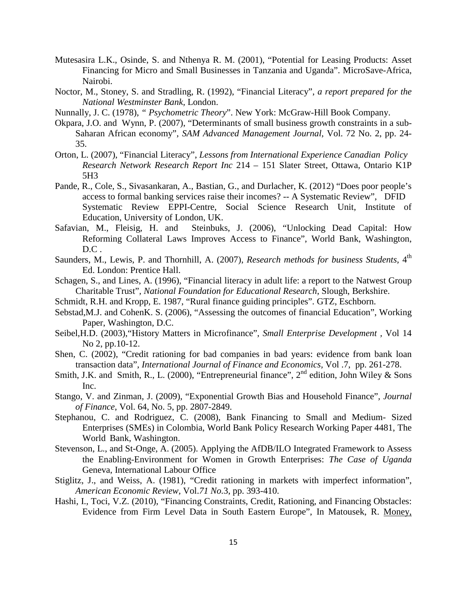- Mutesasira L.K., Osinde, S. and Nthenya R. M. (2001), "Potential for Leasing Products: Asset Financing for Micro and Small Businesses in Tanzania and Uganda". MicroSave-Africa, Nairobi.
- Noctor, M., Stoney, S. and Stradling, R. (1992), "Financial Literacy", *a report prepared for the National Westminster Bank,* London.
- Nunnally, J. C. (1978), *" Psychometric Theory*". New York: McGraw-Hill Book Company.
- Okpara, J.O. and Wynn, P. (2007), "Determinants of small business growth constraints in a sub-Saharan African economy", *SAM Advanced Management Journal*, Vol. 72 No. 2, pp. 24- 35.
- Orton, L. (2007), "Financial Literacy", *Lessons from International Experience Canadian Policy Research Network Research Report Inc* 214 – 151 Slater Street, Ottawa, Ontario K1P 5H3
- Pande, R., Cole, S., Sivasankaran, A., Bastian, G., and Durlacher, K. (2012) "Does poor people's access to formal banking services raise their incomes? -- A Systematic Review", DFID Systematic Review EPPI-Centre, Social Science Research Unit, Institute of Education, University of London, UK.
- Safavian, M., Fleisig, H. and Steinbuks, J. (2006), "Unlocking Dead Capital: How Reforming Collateral Laws Improves Access to Finance", World Bank, Washington, D.C .
- Saunders, M., Lewis, P. and Thornhill, A. (2007), *Research methods for business Students,* 4th Ed. London: Prentice Hall.
- Schagen, S., and Lines, A. (1996), "Financial literacy in adult life: a report to the Natwest Group Charitable Trust"*, National Foundation for Educational Research*, Slough, Berkshire.
- Schmidt, R.H. and Kropp, E. 1987, "Rural finance guiding principles". GTZ, Eschborn.
- Sebstad,M.J. and CohenK. S. (2006), "Assessing the outcomes of financial Education", Working Paper, Washington, D.C.
- Seibel,H.D. (2003),"History Matters in Microfinance", *Small Enterprise Development ,* Vol 14 No 2, pp.10-12.
- Shen, C. (2002), "Credit rationing for bad companies in bad years: evidence from bank loan transaction data", *International Journal of Finance and Economics,* Vol .7, pp. 261-278.
- Smith, J.K. and Smith, R., L. (2000), "Entrepreneurial finance",  $2<sup>nd</sup>$  edition, John Wiley & Sons Inc.
- Stango, V. and Zinman, J. (2009), "Exponential Growth Bias and Household Finance"*, Journal of Finance*, Vol. 64, No. 5, pp. 2807-2849.
- Stephanou, C. and Rodriguez, C. (2008), Bank Financing to Small and Medium- Sized Enterprises (SMEs) in Colombia, World Bank Policy Research Working Paper 4481, The World Bank, Washington.
- Stevenson, L., and St-Onge, A. (2005). Applying the AfDB/ILO Integrated Framework to Assess the Enabling-Environment for Women in Growth Enterprises: *The Case of Uganda*  Geneva, International Labour Office
- Stiglitz, J., and Weiss, A. (1981), "Credit rationing in markets with imperfect information", *American Economic Review,* Vol.*71 No.*3, pp. 393-410.
- Hashi, I., Toci, V.Z. (2010), "Financing Constraints, Credit, Rationing, and Financing Obstacles: Evidence from Firm Level Data in South Eastern Europe", In Matousek, R. Money,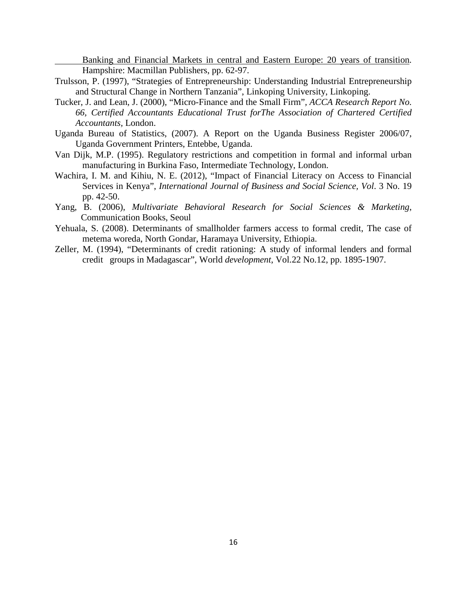Banking and Financial Markets in central and Eastern Europe: 20 years of transition*.*  Hampshire: Macmillan Publishers, pp. 62-97.

- Trulsson, P. (1997), "Strategies of Entrepreneurship: Understanding Industrial Entrepreneurship and Structural Change in Northern Tanzania", Linkoping University, Linkoping.
- Tucker, J. and Lean, J. (2000), "Micro-Finance and the Small Firm"*, ACCA Research Report No. 66, Certified Accountants Educational Trust forThe Association of Chartered Certified Accountants,* London.
- Uganda Bureau of Statistics, (2007). A Report on the Uganda Business Register 2006/07, Uganda Government Printers, Entebbe, Uganda.
- Van Dijk, M.P. (1995). Regulatory restrictions and competition in formal and informal urban manufacturing in Burkina Faso, Intermediate Technology, London.
- Wachira, I. M. and Kihiu, N. E. (2012), "Impact of Financial Literacy on Access to Financial Services in Kenya", *International Journal of Business and Social Science, Vol*. 3 No. 19 pp. 42-50.
- Yang, B. (2006), *Multivariate Behavioral Research for Social Sciences & Marketing*, Communication Books, Seoul
- Yehuala, S. (2008). Determinants of smallholder farmers access to formal credit, The case of metema woreda, North Gondar, Haramaya University, Ethiopia.
- Zeller, M. (1994), "Determinants of credit rationing: A study of informal lenders and formal credit groups in Madagascar", World *development*, Vol.22 No.12, pp. 1895-1907.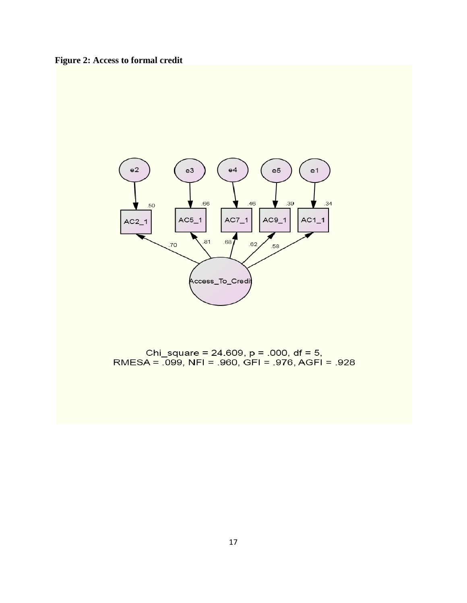**Figure 2: Access to formal credit**



Chi\_square = 24.609, p = .000, df = 5,<br>RMESA = .099, NFI = .960, GFI = .976, AGFI = .928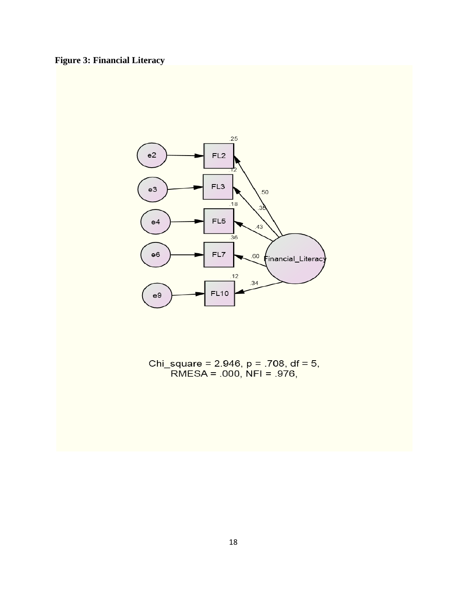# **Figure 3: Financial Literacy**



Chi\_square = 2.946, p = .708, df = 5,<br>RMESA = .000, NFI = .976,